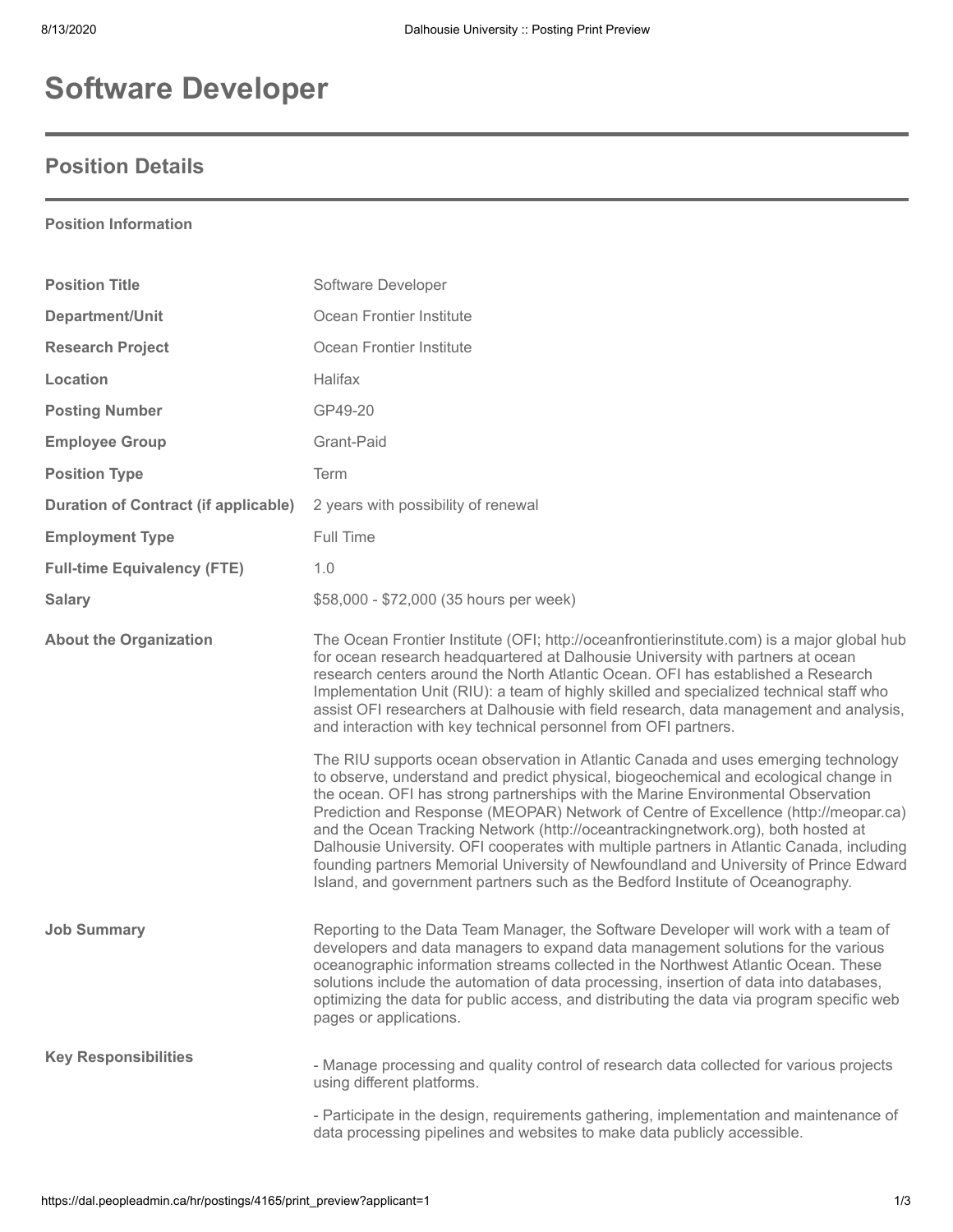# **Software Developer**

## **Position Details**

### **Position Information**

| <b>Position Title</b>                       | Software Developer                                                                                                                                                                                                                                                                                                                                                                                                                                                                                                                                                                                                                                                                                                |
|---------------------------------------------|-------------------------------------------------------------------------------------------------------------------------------------------------------------------------------------------------------------------------------------------------------------------------------------------------------------------------------------------------------------------------------------------------------------------------------------------------------------------------------------------------------------------------------------------------------------------------------------------------------------------------------------------------------------------------------------------------------------------|
| Department/Unit                             | Ocean Frontier Institute                                                                                                                                                                                                                                                                                                                                                                                                                                                                                                                                                                                                                                                                                          |
| <b>Research Project</b>                     | Ocean Frontier Institute                                                                                                                                                                                                                                                                                                                                                                                                                                                                                                                                                                                                                                                                                          |
| Location                                    | Halifax                                                                                                                                                                                                                                                                                                                                                                                                                                                                                                                                                                                                                                                                                                           |
| <b>Posting Number</b>                       | GP49-20                                                                                                                                                                                                                                                                                                                                                                                                                                                                                                                                                                                                                                                                                                           |
| <b>Employee Group</b>                       | Grant-Paid                                                                                                                                                                                                                                                                                                                                                                                                                                                                                                                                                                                                                                                                                                        |
| <b>Position Type</b>                        | Term                                                                                                                                                                                                                                                                                                                                                                                                                                                                                                                                                                                                                                                                                                              |
| <b>Duration of Contract (if applicable)</b> | 2 years with possibility of renewal                                                                                                                                                                                                                                                                                                                                                                                                                                                                                                                                                                                                                                                                               |
| <b>Employment Type</b>                      | Full Time                                                                                                                                                                                                                                                                                                                                                                                                                                                                                                                                                                                                                                                                                                         |
| <b>Full-time Equivalency (FTE)</b>          | 1.0                                                                                                                                                                                                                                                                                                                                                                                                                                                                                                                                                                                                                                                                                                               |
| <b>Salary</b>                               | \$58,000 - \$72,000 (35 hours per week)                                                                                                                                                                                                                                                                                                                                                                                                                                                                                                                                                                                                                                                                           |
| <b>About the Organization</b>               | The Ocean Frontier Institute (OFI; http://oceanfrontierinstitute.com) is a major global hub<br>for ocean research headquartered at Dalhousie University with partners at ocean<br>research centers around the North Atlantic Ocean. OFI has established a Research<br>Implementation Unit (RIU): a team of highly skilled and specialized technical staff who<br>assist OFI researchers at Dalhousie with field research, data management and analysis,<br>and interaction with key technical personnel from OFI partners.                                                                                                                                                                                        |
|                                             | The RIU supports ocean observation in Atlantic Canada and uses emerging technology<br>to observe, understand and predict physical, biogeochemical and ecological change in<br>the ocean. OFI has strong partnerships with the Marine Environmental Observation<br>Prediction and Response (MEOPAR) Network of Centre of Excellence (http://meopar.ca)<br>and the Ocean Tracking Network (http://oceantrackingnetwork.org), both hosted at<br>Dalhousie University. OFI cooperates with multiple partners in Atlantic Canada, including<br>founding partners Memorial University of Newfoundland and University of Prince Edward<br>Island, and government partners such as the Bedford Institute of Oceanography. |
| <b>Job Summary</b>                          | Reporting to the Data Team Manager, the Software Developer will work with a team of<br>developers and data managers to expand data management solutions for the various<br>oceanographic information streams collected in the Northwest Atlantic Ocean. These<br>solutions include the automation of data processing, insertion of data into databases,<br>optimizing the data for public access, and distributing the data via program specific web<br>pages or applications.                                                                                                                                                                                                                                    |
| <b>Key Responsibilities</b>                 | - Manage processing and quality control of research data collected for various projects<br>using different platforms.                                                                                                                                                                                                                                                                                                                                                                                                                                                                                                                                                                                             |
|                                             | - Participate in the design, requirements gathering, implementation and maintenance of<br>data processing pipelines and websites to make data publicly accessible.                                                                                                                                                                                                                                                                                                                                                                                                                                                                                                                                                |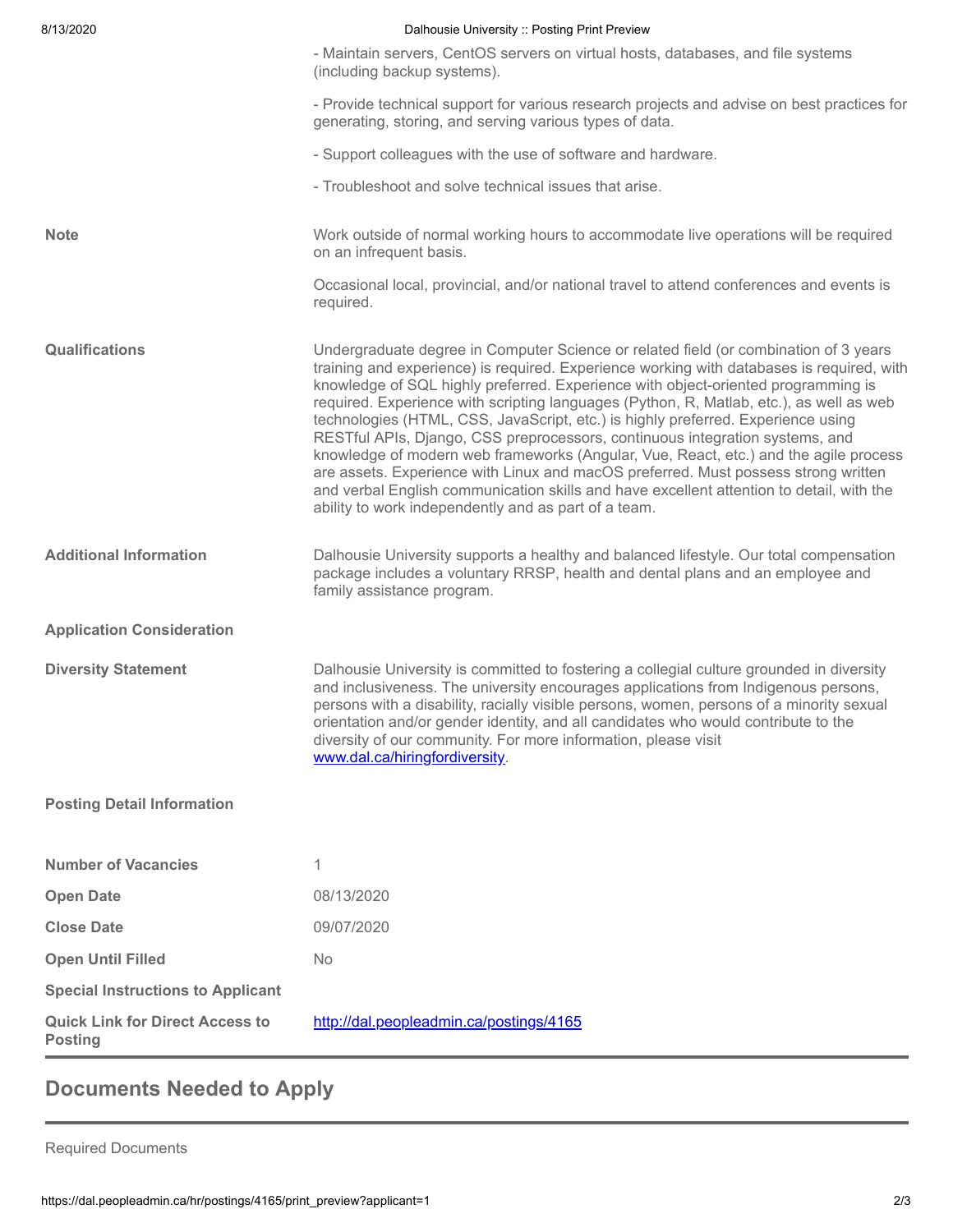| 8/13/2020                                                | Dalhousie University :: Posting Print Preview                                                                                                                                                                                                                                                                                                                                                                                                                                                                                                                                                                                                                                                                                                                                                                                                                           |
|----------------------------------------------------------|-------------------------------------------------------------------------------------------------------------------------------------------------------------------------------------------------------------------------------------------------------------------------------------------------------------------------------------------------------------------------------------------------------------------------------------------------------------------------------------------------------------------------------------------------------------------------------------------------------------------------------------------------------------------------------------------------------------------------------------------------------------------------------------------------------------------------------------------------------------------------|
|                                                          | - Maintain servers, CentOS servers on virtual hosts, databases, and file systems<br>(including backup systems).                                                                                                                                                                                                                                                                                                                                                                                                                                                                                                                                                                                                                                                                                                                                                         |
|                                                          | - Provide technical support for various research projects and advise on best practices for<br>generating, storing, and serving various types of data.                                                                                                                                                                                                                                                                                                                                                                                                                                                                                                                                                                                                                                                                                                                   |
|                                                          | - Support colleagues with the use of software and hardware.                                                                                                                                                                                                                                                                                                                                                                                                                                                                                                                                                                                                                                                                                                                                                                                                             |
|                                                          | - Troubleshoot and solve technical issues that arise.                                                                                                                                                                                                                                                                                                                                                                                                                                                                                                                                                                                                                                                                                                                                                                                                                   |
| <b>Note</b>                                              | Work outside of normal working hours to accommodate live operations will be required<br>on an infrequent basis.                                                                                                                                                                                                                                                                                                                                                                                                                                                                                                                                                                                                                                                                                                                                                         |
|                                                          | Occasional local, provincial, and/or national travel to attend conferences and events is<br>required.                                                                                                                                                                                                                                                                                                                                                                                                                                                                                                                                                                                                                                                                                                                                                                   |
| <b>Qualifications</b>                                    | Undergraduate degree in Computer Science or related field (or combination of 3 years<br>training and experience) is required. Experience working with databases is required, with<br>knowledge of SQL highly preferred. Experience with object-oriented programming is<br>required. Experience with scripting languages (Python, R, Matlab, etc.), as well as web<br>technologies (HTML, CSS, JavaScript, etc.) is highly preferred. Experience using<br>RESTful APIs, Django, CSS preprocessors, continuous integration systems, and<br>knowledge of modern web frameworks (Angular, Vue, React, etc.) and the agile process<br>are assets. Experience with Linux and macOS preferred. Must possess strong written<br>and verbal English communication skills and have excellent attention to detail, with the<br>ability to work independently and as part of a team. |
| <b>Additional Information</b>                            | Dalhousie University supports a healthy and balanced lifestyle. Our total compensation<br>package includes a voluntary RRSP, health and dental plans and an employee and<br>family assistance program.                                                                                                                                                                                                                                                                                                                                                                                                                                                                                                                                                                                                                                                                  |
| <b>Application Consideration</b>                         |                                                                                                                                                                                                                                                                                                                                                                                                                                                                                                                                                                                                                                                                                                                                                                                                                                                                         |
| <b>Diversity Statement</b>                               | Dalhousie University is committed to fostering a collegial culture grounded in diversity<br>and inclusiveness. The university encourages applications from Indigenous persons,<br>persons with a disability, racially visible persons, women, persons of a minority sexual<br>orientation and/or gender identity, and all candidates who would contribute to the<br>diversity of our community. For more information, please visit<br>www.dal.ca/hiringfordiversity.                                                                                                                                                                                                                                                                                                                                                                                                    |
| <b>Posting Detail Information</b>                        |                                                                                                                                                                                                                                                                                                                                                                                                                                                                                                                                                                                                                                                                                                                                                                                                                                                                         |
| <b>Number of Vacancies</b>                               | 1                                                                                                                                                                                                                                                                                                                                                                                                                                                                                                                                                                                                                                                                                                                                                                                                                                                                       |
| <b>Open Date</b>                                         | 08/13/2020                                                                                                                                                                                                                                                                                                                                                                                                                                                                                                                                                                                                                                                                                                                                                                                                                                                              |
| <b>Close Date</b>                                        | 09/07/2020                                                                                                                                                                                                                                                                                                                                                                                                                                                                                                                                                                                                                                                                                                                                                                                                                                                              |
| <b>Open Until Filled</b>                                 | No                                                                                                                                                                                                                                                                                                                                                                                                                                                                                                                                                                                                                                                                                                                                                                                                                                                                      |
| <b>Special Instructions to Applicant</b>                 |                                                                                                                                                                                                                                                                                                                                                                                                                                                                                                                                                                                                                                                                                                                                                                                                                                                                         |
| <b>Quick Link for Direct Access to</b><br><b>Posting</b> | http://dal.peopleadmin.ca/postings/4165                                                                                                                                                                                                                                                                                                                                                                                                                                                                                                                                                                                                                                                                                                                                                                                                                                 |
|                                                          |                                                                                                                                                                                                                                                                                                                                                                                                                                                                                                                                                                                                                                                                                                                                                                                                                                                                         |

# **Documents Needed to Apply**

Required Documents